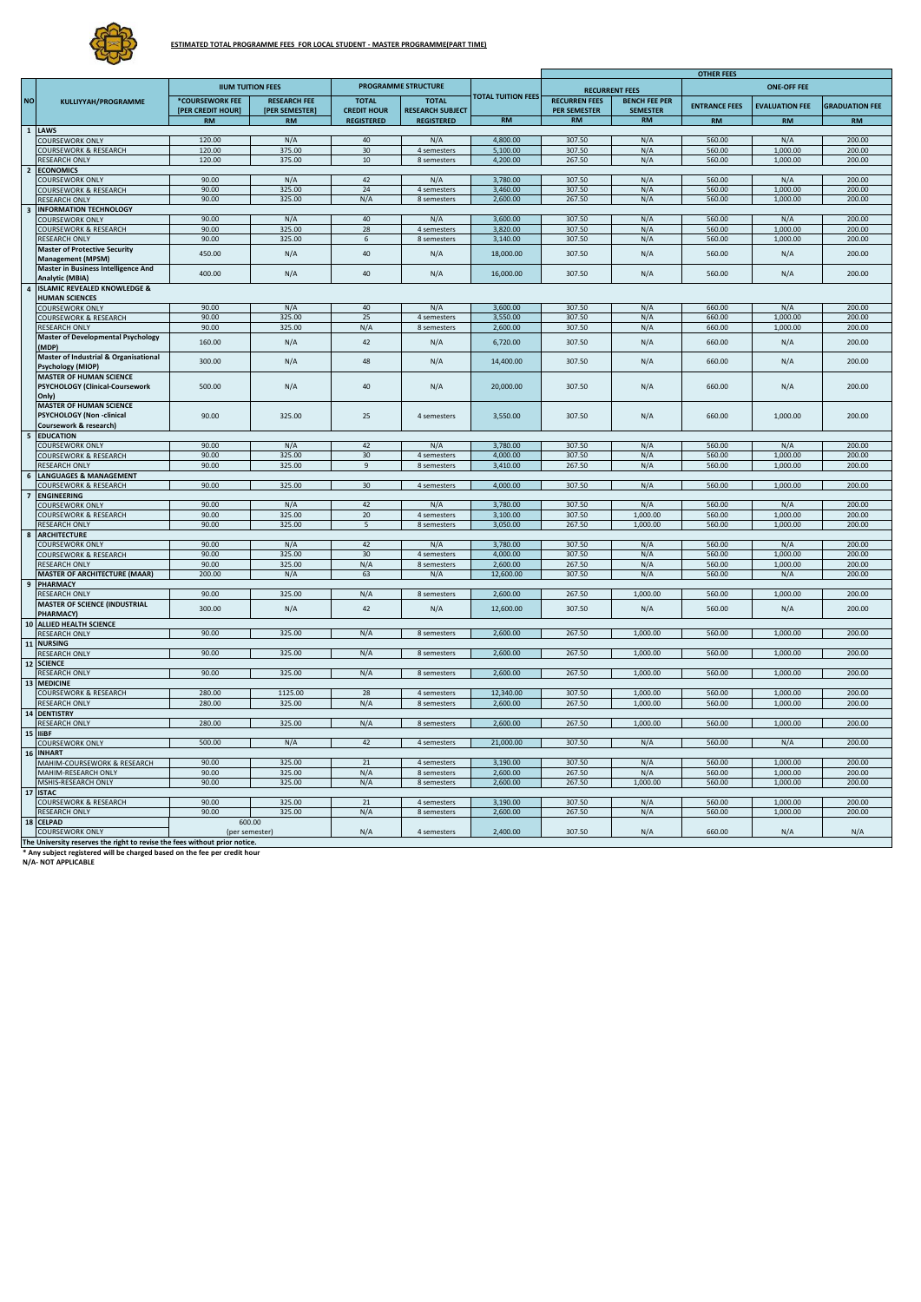

|                         |                                                                                                      |                                      |                                       |                                    |                                         |                           | <b>OTHER FEES</b>                           |                                         |                      |                       |                       |
|-------------------------|------------------------------------------------------------------------------------------------------|--------------------------------------|---------------------------------------|------------------------------------|-----------------------------------------|---------------------------|---------------------------------------------|-----------------------------------------|----------------------|-----------------------|-----------------------|
|                         |                                                                                                      | <b>IIUM TUITION FEES</b>             |                                       | PROGRAMME STRUCTURE                |                                         |                           | <b>ONE-OFF FEE</b><br><b>RECURRENT FEES</b> |                                         |                      |                       |                       |
| <b>NO</b>               | KULLIYYAH/PROGRAMME                                                                                  | *COURSEWORK FEE<br>[PER CREDIT HOUR] | <b>RESEARCH FEE</b><br>[PER SEMESTER] | <b>TOTAL</b><br><b>CREDIT HOUR</b> | <b>TOTAL</b><br><b>RESEARCH SUBJECT</b> | <b>TOTAL TUITION FEES</b> | <b>RECURREN FEES</b><br><b>PER SEMESTER</b> | <b>BENCH FEE PER</b><br><b>SEMESTER</b> | <b>ENTRANCE FEES</b> | <b>EVALUATION FEE</b> | <b>GRADUATION FEE</b> |
|                         |                                                                                                      | <b>RM</b>                            | <b>RM</b>                             | <b>REGISTERED</b>                  | <b>REGISTERED</b>                       | <b>RM</b>                 | $\mathbf{RM}$                               | <b>RM</b>                               | <b>RM</b>            | <b>RM</b>             | <b>RM</b>             |
|                         | 1 LAWS                                                                                               | 120.00                               |                                       | 40                                 |                                         | 4,800.00                  | 307.50                                      |                                         | 560.00               |                       | 200.00                |
|                         | COURSEWORK ONLY<br>COURSEWORK & RESEARCH                                                             | 120.00                               | N/A<br>375.00                         | 30                                 | N/A<br>4 semesters                      | 5,100.00                  | 307.50                                      | N/A<br>N/A                              | 560.00               | N/A<br>1,000.00       | 200.00                |
|                         | RESEARCH ONLY                                                                                        | 120.00                               | 375.00                                | 10                                 | 8 semesters                             | 4,200.00                  | 267.50                                      | N/A                                     | 560.00               | 1,000.00              | 200.00                |
|                         | 2 ECONOMICS                                                                                          |                                      |                                       |                                    |                                         |                           |                                             |                                         |                      |                       |                       |
| $\overline{\mathbf{3}}$ | <b>COURSEWORK ONLY</b>                                                                               | 90.00                                | N/A                                   | 42                                 | N/A                                     | 3,780.00                  | 307.50                                      | N/A                                     | 560.00               | N/A                   | 200.00                |
|                         | COURSEWORK & RESEARCH                                                                                | 90.00                                | 325.00                                | 24                                 | 4 semesters                             | 3,460.00                  | 307.50                                      | N/A                                     | 560.00               | 1,000.00              | 200.00                |
|                         | RESEARCH ONLY                                                                                        | 90.00                                | 325.00                                | N/A                                | 8 semesters                             | 2,600.00                  | 267.50                                      | N/A                                     | 560.00               | 1,000.00              | 200.00                |
|                         | <b>INFORMATION TECHNOLOGY</b><br>COURSEWORK ONLY                                                     | 90.00                                | N/A                                   | 40                                 | N/A                                     | 3,600.00                  | 307.50                                      | N/A                                     | 560.00               | N/A                   | 200.00                |
|                         | <b>COURSEWORK &amp; RESEARCH</b>                                                                     | 90.00                                | 325.00                                | 28                                 | 4 semesters                             | 3.820.00                  | 307.50                                      | N/A                                     | 560.00               | 1.000.00              | 200.00                |
|                         | RESEARCH ONLY                                                                                        | 90.00                                | 325.00                                | $\mathsf{f}$                       | 8 semesters                             | 3,140.00                  | 307.50                                      | N/A                                     | 560.00               | 1,000.00              | 200.00                |
|                         | <b>Master of Protective Security</b><br><b>Management (MPSM)</b>                                     | 450.00                               | N/A                                   | 40                                 | N/A                                     | 18,000.00                 | 307.50                                      | N/A                                     | 560.00               | N/A                   | 200.00                |
|                         | Master in Business Intelligence And<br>Analytic (MBIA)                                               | 400.00                               | N/A                                   | 40                                 | N/A                                     | 16,000.00                 | 307.50                                      | N/A                                     | 560.00               | N/A                   | 200.00                |
|                         | 4 ISLAMIC REVEALED KNOWLEDGE &                                                                       |                                      |                                       |                                    |                                         |                           |                                             |                                         |                      |                       |                       |
|                         | <b>HUMAN SCIENCES</b>                                                                                |                                      |                                       |                                    |                                         |                           |                                             |                                         |                      |                       |                       |
|                         | <b>COURSEWORK ONLY</b><br>COURSEWORK & RESEARCH                                                      | 90.00<br>90.00                       | N/A<br>325.00                         | 40<br>25                           | N/A<br>4 semesters                      | 3,600.00<br>3,550.00      | 307.50<br>307.50                            | N/A<br>N/A                              | 660.00<br>660.00     | N/A<br>1.000.00       | 200.00<br>200.00      |
|                         | RESEARCH ONLY                                                                                        | 90.00                                | 325.00                                | N/A                                | 8 semesters                             | 2,600.00                  | 307.50                                      | N/A                                     | 660.00               | 1,000.00              | 200.00                |
|                         | <b>Master of Developmental Psychology</b><br>(MDP)                                                   | 160.00                               | N/A                                   | 42                                 | N/A                                     | 6,720.00                  | 307.50                                      | N/A                                     | 660.00               | N/A                   | 200.00                |
|                         | Master of Industrial & Organisational<br>Psychology (MIOP)                                           | 300.00                               | N/A                                   | 48                                 | N/A                                     | 14,400.00                 | 307.50                                      | N/A                                     | 660.00               | N/A                   | 200.00                |
|                         | MASTER OF HUMAN SCIENCE                                                                              | 500.00                               | N/A                                   | 40                                 | N/A                                     | 20,000.00                 | 307.50                                      | N/A                                     | 660.00               | N/A                   | 200.00                |
|                         | PSYCHOLOGY (Clinical-Coursework<br>Only)<br><b>MASTER OF HUMAN SCIENCE</b>                           |                                      |                                       |                                    |                                         |                           |                                             |                                         |                      |                       |                       |
|                         | PSYCHOLOGY (Non -clinical                                                                            | 90.00                                | 325.00                                | 25                                 | 4 semesters                             | 3,550.00                  | 307.50                                      | N/A                                     | 660.00               | 1,000.00              | 200.00                |
| $5\phantom{a}$          | Coursework & research)                                                                               |                                      |                                       |                                    |                                         |                           |                                             |                                         |                      |                       |                       |
|                         | <b>EDUCATION</b><br><b>COURSEWORK ONLY</b>                                                           | 90.00                                | N/A                                   | 42                                 | N/A                                     | 3,780.00                  | 307.50                                      | N/A                                     | 560.00               | N/A                   | 200.00                |
|                         | COURSEWORK & RESEARCH                                                                                | 90.00                                | 325.00                                | 30                                 | 4 semesters                             | 4,000.00                  | 307.50                                      | N/A                                     | 560.00               | 1,000.00              | 200.00                |
|                         | <b>RESEARCH ONLY</b>                                                                                 | 90.00                                | 325.00                                | $\overline{9}$                     | 8 semesters                             | 3,410.00                  | 267.50                                      | N/A                                     | 560.00               | 1,000.00              | 200.00                |
|                         | 6 LANGUAGES & MANAGEMENT                                                                             |                                      |                                       |                                    |                                         |                           |                                             |                                         |                      |                       |                       |
| $\overline{7}$          | <b>COURSEWORK &amp; RESEARCH</b><br><b>ENGINEERING</b>                                               | 90.00                                | 325.00                                | 30                                 | 4 semesters                             | 4.000.00                  | 307.50                                      | N/A                                     | 560.00               | 1,000.00              | 200.00                |
|                         | <b>COURSEWORK ONLY</b>                                                                               | 90.00                                | N/A                                   | 42                                 | N/A                                     | 3,780.00                  | 307.50                                      | N/A                                     | 560.00               | N/A                   | 200.00                |
|                         | COURSEWORK & RESEARCH                                                                                | 90.00                                | 325.00                                | 20                                 | 4 semesters                             | 3,100.00                  | 307.50                                      | 1,000.00                                | 560.00               | 1,000.00              | 200.00                |
|                         | RESEARCH ONLY                                                                                        | 90.00                                | 325.00                                | 5                                  | 8 semesters                             | 3,050.00                  | 267.50                                      | 1,000.00                                | 560.00               | 1,000.00              | 200.00                |
|                         | 8 ARCHITECTURE                                                                                       |                                      |                                       |                                    |                                         |                           |                                             |                                         |                      |                       |                       |
|                         | COURSEWORK ONLY<br>COURSEWORK & RESEARCH                                                             | 90.00<br>90.00                       | N/A<br>325.00                         | 42<br>30                           | N/A<br>4 semesters                      | 3.780.00<br>4,000.00      | 307.50<br>307.50                            | N/A<br>N/A                              | 560.00<br>560.00     | N/A<br>1,000.00       | 200.00<br>200.00      |
|                         | <b>RESEARCH ONLY</b>                                                                                 | 90.00                                | 325.00                                | N/A                                | 8 semesters                             | 2,600.00                  | 267.50                                      | N/A                                     | 560.00               | 1,000.00              | 200.00                |
|                         | <b>MASTER OF ARCHITECTURE (MAAR)</b>                                                                 | 200.00                               | N/A                                   | 63                                 | N/A                                     | 12,600.00                 | 307.50                                      | N/A                                     | 560.00               | N/A                   | 200.00                |
|                         | 9 PHARMACY                                                                                           |                                      |                                       |                                    |                                         |                           |                                             |                                         |                      |                       |                       |
|                         | <b>RESEARCH ONLY</b>                                                                                 | 90.00                                | 325.00                                | N/A                                | 8 semesters                             | 2,600.00                  | 267.50                                      | 1,000.00                                | 560.00               | 1,000.00              | 200.00                |
|                         | <b>MASTER OF SCIENCE (INDUSTRIAL</b><br>PHARMACY)                                                    | 300.00                               | N/A                                   | 42                                 | N/A                                     | 12,600.00                 | 307.50                                      | N/A                                     | 560.00               | N/A                   | 200.00                |
|                         | 10 ALLIED HEALTH SCIENCE                                                                             |                                      |                                       |                                    |                                         |                           |                                             |                                         |                      |                       |                       |
|                         | <b>RESEARCH ONLY</b>                                                                                 | 90.00                                | 325.00                                | N/A                                | 8 semesters                             | 2,600.00                  | 267.50                                      | 1,000.00                                | 560.00               | 1,000.00              | 200.00                |
|                         | 11 NURSING                                                                                           |                                      |                                       |                                    |                                         |                           |                                             |                                         |                      |                       |                       |
|                         | <b>RESEARCH ONLY</b><br>12 SCIENCE                                                                   | 90.00                                | 325.00                                | N/A                                | 8 semesters                             | 2,600.00                  | 267.50                                      | 1,000.00                                | 560.00               | 1,000.00              | 200.00                |
|                         | RESEARCH ONLY                                                                                        | 90.00                                | 325.00                                | N/A                                | 8 semesters                             | 2,600.00                  | 267.50                                      | 1,000.00                                | 560.00               | 1,000.00              | 200.00                |
|                         | 13 MEDICINE<br><b>COURSEWORK &amp; RESEARCH</b>                                                      | 280.00                               | 1125.00                               | 28                                 | 4 semesters                             | 12,340.00                 | 307.50                                      | 1,000.00                                | 560.00               | 1,000.00              | 200.00                |
|                         | RESEARCH ONLY                                                                                        | 280.00                               | 325.00                                | N/A                                | 8 semesters                             | 2,600.00                  | 267.50                                      | 1,000.00                                | 560.00               | 1,000.00              | 200.00                |
|                         | 14 DENTISTRY                                                                                         |                                      |                                       |                                    |                                         |                           |                                             |                                         |                      |                       |                       |
|                         | <b>RESEARCH ONLY</b>                                                                                 | 280.00                               | 325.00                                | N/A                                | 8 semesters                             | 2,600.00                  | 267.50                                      | 1,000.00                                | 560.00               | 1,000.00              | 200.00                |
|                         | 15 IIiBF                                                                                             |                                      |                                       |                                    |                                         |                           |                                             |                                         |                      |                       |                       |
| 16                      | <b>COURSEWORK ONLY</b><br><b>INHART</b>                                                              | 500.00                               | N/A                                   | 42                                 | 4 semesters                             | 21,000.00                 | 307.50                                      | N/A                                     | 560.00               | N/A                   | 200.00                |
|                         | MAHIM-COURSEWORK & RESEARCH                                                                          | 90.00                                | 325.00                                | 21                                 | 4 semesters                             | 3,190.00                  | 307.50                                      | N/A                                     | 560.00               | 1,000.00              | 200.00                |
|                         | MAHIM-RESEARCH ONLY                                                                                  | 90.00                                | 325.00                                | N/A                                | 8 semesters<br>8 semesters              | 2,600.00                  | 267.50                                      | N/A                                     | 560.00               | 1,000.00              | 200.00                |
| 17                      | MSHIS-RESEARCH ONLY<br><b>ISTAC</b>                                                                  | 90.00                                | 325.00                                | N/A                                |                                         | 2,600.00                  | 267.50                                      | 1,000.00                                | 560.00               | 1,000.00              | 200.00                |
|                         | <b>COURSEWORK &amp; RESEARCH</b>                                                                     | 90.00                                | 325.00                                | 21                                 | 4 semesters                             | 3,190.00                  | 307.50                                      | N/A                                     | 560.00               | 1,000.00              | 200.00                |
|                         | RESEARCH ONLY                                                                                        | 90.00                                | 325.00                                | N/A                                | 8 semesters                             | 2.600.00                  | 267.50                                      | N/A                                     | 560.00               | 1.000.00              | 200.00                |
|                         | 18 CELPAD                                                                                            | 600.00                               |                                       |                                    |                                         |                           |                                             |                                         |                      |                       |                       |
|                         | <b>COURSEWORK ONLY</b><br>The University reserves the right to revise the fees without prior notice. | (per semester)                       |                                       | N/A                                | 4 semesters                             | 2,400.00                  | 307.50                                      | N/A                                     | 660.00               | N/A                   | N/A                   |

**\* Any subject registered will be charged based on the fee per credit hour N/A- NOT APPLICABLE**